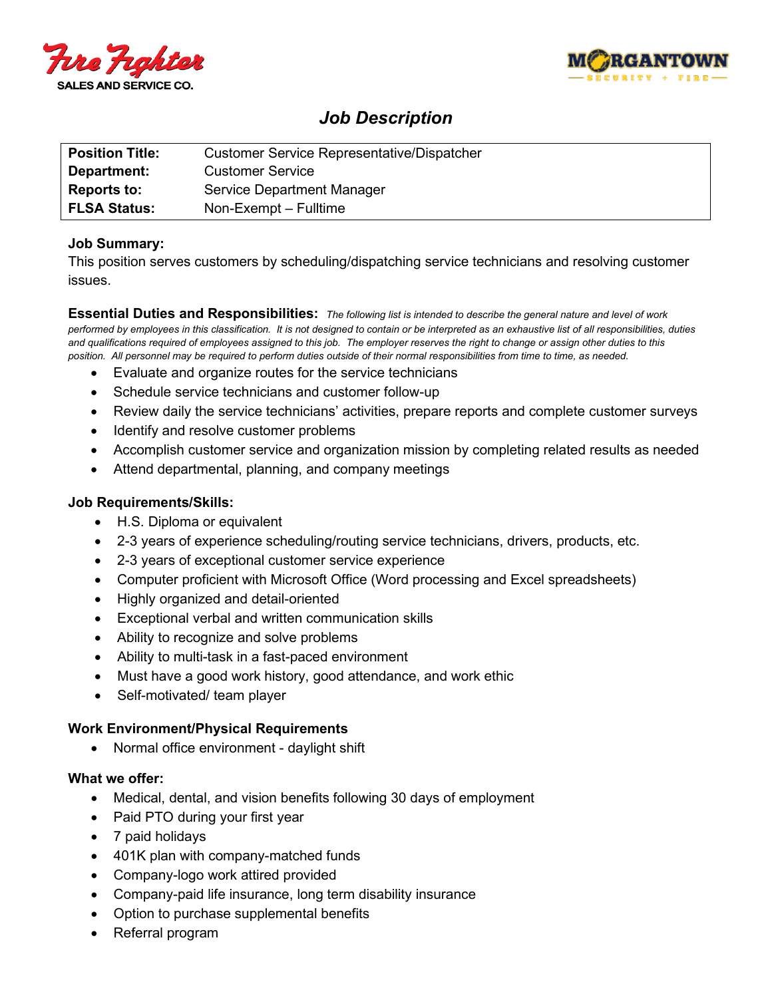



# *Job Description*

| <b>Position Title:</b> | <b>Customer Service Representative/Dispatcher</b> |
|------------------------|---------------------------------------------------|
| Department:            | <b>Customer Service</b>                           |
| <b>Reports to:</b>     | Service Department Manager                        |
| <b>FLSA Status:</b>    | Non-Exempt – Fulltime                             |

## **Job Summary:**

This position serves customers by scheduling/dispatching service technicians and resolving customer issues.

**Essential Duties and Responsibilities:** *The following list is intended to describe the general nature and level of work performed by employees in this classification. It is not designed to contain or be interpreted as an exhaustive list of all responsibilities, duties and qualifications required of employees assigned to this job. The employer reserves the right to change or assign other duties to this position. All personnel may be required to perform duties outside of their normal responsibilities from time to time, as needed.*

- Evaluate and organize routes for the service technicians
- Schedule service technicians and customer follow-up
- Review daily the service technicians' activities, prepare reports and complete customer surveys
- Identify and resolve customer problems
- Accomplish customer service and organization mission by completing related results as needed
- Attend departmental, planning, and company meetings

## **Job Requirements/Skills:**

- H.S. Diploma or equivalent
- 2-3 years of experience scheduling/routing service technicians, drivers, products, etc.
- 2-3 years of exceptional customer service experience
- Computer proficient with Microsoft Office (Word processing and Excel spreadsheets)
- Highly organized and detail-oriented
- Exceptional verbal and written communication skills
- Ability to recognize and solve problems
- Ability to multi-task in a fast-paced environment
- Must have a good work history, good attendance, and work ethic
- Self-motivated/ team player

### **Work Environment/Physical Requirements**

• Normal office environment - daylight shift

### **What we offer:**

- Medical, dental, and vision benefits following 30 days of employment
- Paid PTO during your first year
- 7 paid holidays
- 401K plan with company-matched funds
- Company-logo work attired provided
- Company-paid life insurance, long term disability insurance
- Option to purchase supplemental benefits
- Referral program